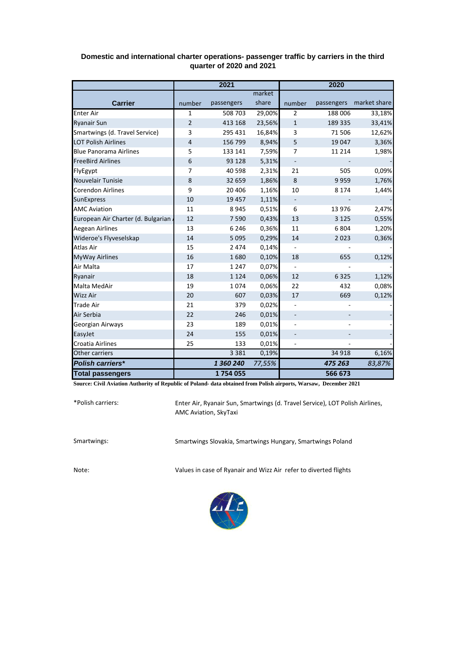|                                    | 2021           |            |        | 2020                     |         |                         |  |
|------------------------------------|----------------|------------|--------|--------------------------|---------|-------------------------|--|
|                                    |                |            | market |                          |         |                         |  |
| <b>Carrier</b>                     | number         | passengers | share  | number                   |         | passengers market share |  |
| <b>Enter Air</b>                   | 1              | 508 703    | 29,00% | $\overline{2}$           | 188 006 | 33,18%                  |  |
| <b>Ryanair Sun</b>                 | $\overline{2}$ | 413 168    | 23,56% | $\mathbf{1}$             | 189 335 | 33,41%                  |  |
| Smartwings (d. Travel Service)     | 3              | 295 431    | 16,84% | 3                        | 71 506  | 12,62%                  |  |
| <b>LOT Polish Airlines</b>         | 4              | 156 799    | 8,94%  | 5                        | 19 047  | 3,36%                   |  |
| <b>Blue Panorama Airlines</b>      | 5              | 133 141    | 7,59%  | 7                        | 11 2 14 | 1,98%                   |  |
| <b>FreeBird Airlines</b>           | 6              | 93 1 28    | 5,31%  | $\blacksquare$           |         |                         |  |
| FlyEgypt                           | 7              | 40 598     | 2,31%  | 21                       | 505     | 0,09%                   |  |
| <b>Nouvelair Tunisie</b>           | 8              | 32 659     | 1,86%  | 8                        | 9959    | 1,76%                   |  |
| <b>Corendon Airlines</b>           | 9              | 20 40 6    | 1,16%  | 10                       | 8 1 7 4 | 1,44%                   |  |
| <b>SunExpress</b>                  | 10             | 19 457     | 1,11%  | $\overline{\phantom{m}}$ |         |                         |  |
| <b>AMC Aviation</b>                | 11             | 8945       | 0,51%  | 6                        | 13 976  | 2,47%                   |  |
| European Air Charter (d. Bulgarian | 12             | 7590       | 0,43%  | 13                       | 3 1 2 5 | 0,55%                   |  |
| Aegean Airlines                    | 13             | 6 2 4 6    | 0,36%  | 11                       | 6804    | 1,20%                   |  |
| Wideroe's Flyveselskap             | 14             | 5 0 9 5    | 0,29%  | 14                       | 2023    | 0,36%                   |  |
| Atlas Air                          | 15             | 2 4 7 4    | 0,14%  |                          |         |                         |  |
| <b>MyWay Airlines</b>              | 16             | 1680       | 0,10%  | 18                       | 655     | 0,12%                   |  |
| Air Malta                          | 17             | 1 2 4 7    | 0,07%  |                          |         |                         |  |
| Ryanair                            | 18             | 1 1 2 4    | 0,06%  | 12                       | 6 3 2 5 | 1,12%                   |  |
| Malta MedAir                       | 19             | 1074       | 0,06%  | 22                       | 432     | 0,08%                   |  |
| <b>Wizz Air</b>                    | 20             | 607        | 0,03%  | 17                       | 669     | 0,12%                   |  |
| <b>Trade Air</b>                   | 21             | 379        | 0,02%  |                          |         |                         |  |
| Air Serbia                         | 22             | 246        | 0,01%  |                          |         |                         |  |
| Georgian Airways                   | 23             | 189        | 0,01%  |                          |         |                         |  |
| EasyJet                            | 24             | 155        | 0,01%  |                          |         |                         |  |
| <b>Croatia Airlines</b>            | 25             | 133        | 0,01%  | ÷,                       |         |                         |  |
| Other carriers                     |                | 3 3 8 1    | 0,19%  |                          | 34 918  | 6,16%                   |  |
| <b>Polish carriers*</b>            |                | 1 360 240  | 77,55% |                          | 475 263 | 83,87%                  |  |
| <b>Total passengers</b>            |                | 1754055    |        |                          | 566 673 |                         |  |

## **Domestic and international charter operations- passenger traffic by carriers in the third quarter of 2020 and 2021**

**Source: Civil Aviation Authority of Republic of Poland- data obtained from Polish airports, Warsaw, December 2021**

\*Polish carriers:

Enter Air, Ryanair Sun, Smartwings (d. Travel Service), LOT Polish Airlines, AMC Aviation, SkyTaxi

Smartwings: Smartwings Slovakia, Smartwings Hungary, Smartwings Poland

Note: Values in case of Ryanair and Wizz Air refer to diverted flights